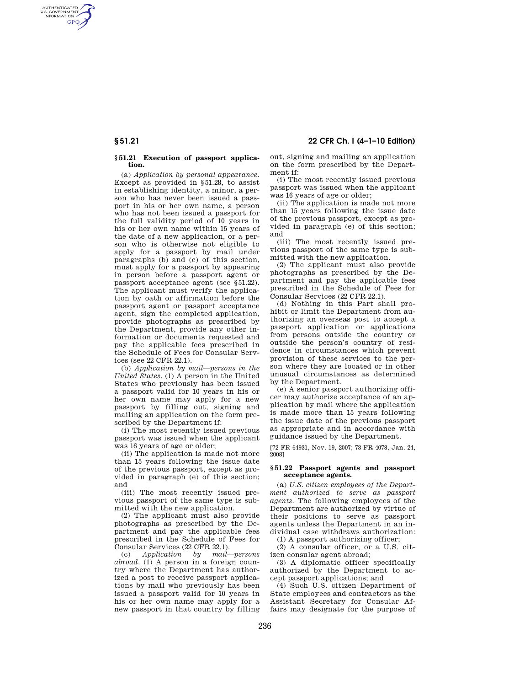AUTHENTICATED<br>U.S. GOVERNMENT<br>INFORMATION **GPO** 

### **§ 51.21 Execution of passport application.**

(a) *Application by personal appearance.*  Except as provided in §51.28, to assist in establishing identity, a minor, a person who has never been issued a passport in his or her own name, a person who has not been issued a passport for the full validity period of 10 years in his or her own name within 15 years of the date of a new application, or a person who is otherwise not eligible to apply for a passport by mail under paragraphs (b) and (c) of this section, must apply for a passport by appearing in person before a passport agent or passport acceptance agent (see §51.22). The applicant must verify the application by oath or affirmation before the passport agent or passport acceptance agent, sign the completed application, provide photographs as prescribed by the Department, provide any other information or documents requested and pay the applicable fees prescribed in the Schedule of Fees for Consular Services (see 22 CFR 22.1).

(b) *Application by mail—persons in the United States.* (1) A person in the United States who previously has been issued a passport valid for 10 years in his or her own name may apply for a new passport by filling out, signing and mailing an application on the form prescribed by the Department if:

(i) The most recently issued previous passport was issued when the applicant was 16 years of age or older;

(ii) The application is made not more than 15 years following the issue date of the previous passport, except as provided in paragraph (e) of this section; and

(iii) The most recently issued previous passport of the same type is submitted with the new application.

(2) The applicant must also provide photographs as prescribed by the Department and pay the applicable fees prescribed in the Schedule of Fees for Consular Services (22 CFR 22.1).

(c) *Application by mail—persons abroad.* (1) A person in a foreign country where the Department has authorized a post to receive passport applications by mail who previously has been issued a passport valid for 10 years in his or her own name may apply for a new passport in that country by filling

**§ 51.21 22 CFR Ch. I (4–1–10 Edition)** 

out, signing and mailing an application on the form prescribed by the Department if:

(i) The most recently issued previous passport was issued when the applicant was 16 years of age or older;

(ii) The application is made not more than 15 years following the issue date of the previous passport, except as provided in paragraph (e) of this section; and

(iii) The most recently issued previous passport of the same type is submitted with the new application.

(2) The applicant must also provide photographs as prescribed by the Department and pay the applicable fees prescribed in the Schedule of Fees for Consular Services (22 CFR 22.1).

(d) Nothing in this Part shall prohibit or limit the Department from authorizing an overseas post to accept a passport application or applications from persons outside the country or outside the person's country of residence in circumstances which prevent provision of these services to the person where they are located or in other unusual circumstances as determined by the Department.

(e) A senior passport authorizing officer may authorize acceptance of an application by mail where the application is made more than 15 years following the issue date of the previous passport as appropriate and in accordance with guidance issued by the Department.

[72 FR 64931, Nov. 19, 2007; 73 FR 4078, Jan. 24, 2008]

## **§ 51.22 Passport agents and passport acceptance agents.**

(a) *U.S. citizen employees of the Department authorized to serve as passport agents.* The following employees of the Department are authorized by virtue of their positions to serve as passport agents unless the Department in an individual case withdraws authorization:

(1) A passport authorizing officer;

(2) A consular officer, or a U.S. citizen consular agent abroad;

(3) A diplomatic officer specifically authorized by the Department to accept passport applications; and

(4) Such U.S. citizen Department of State employees and contractors as the Assistant Secretary for Consular Affairs may designate for the purpose of